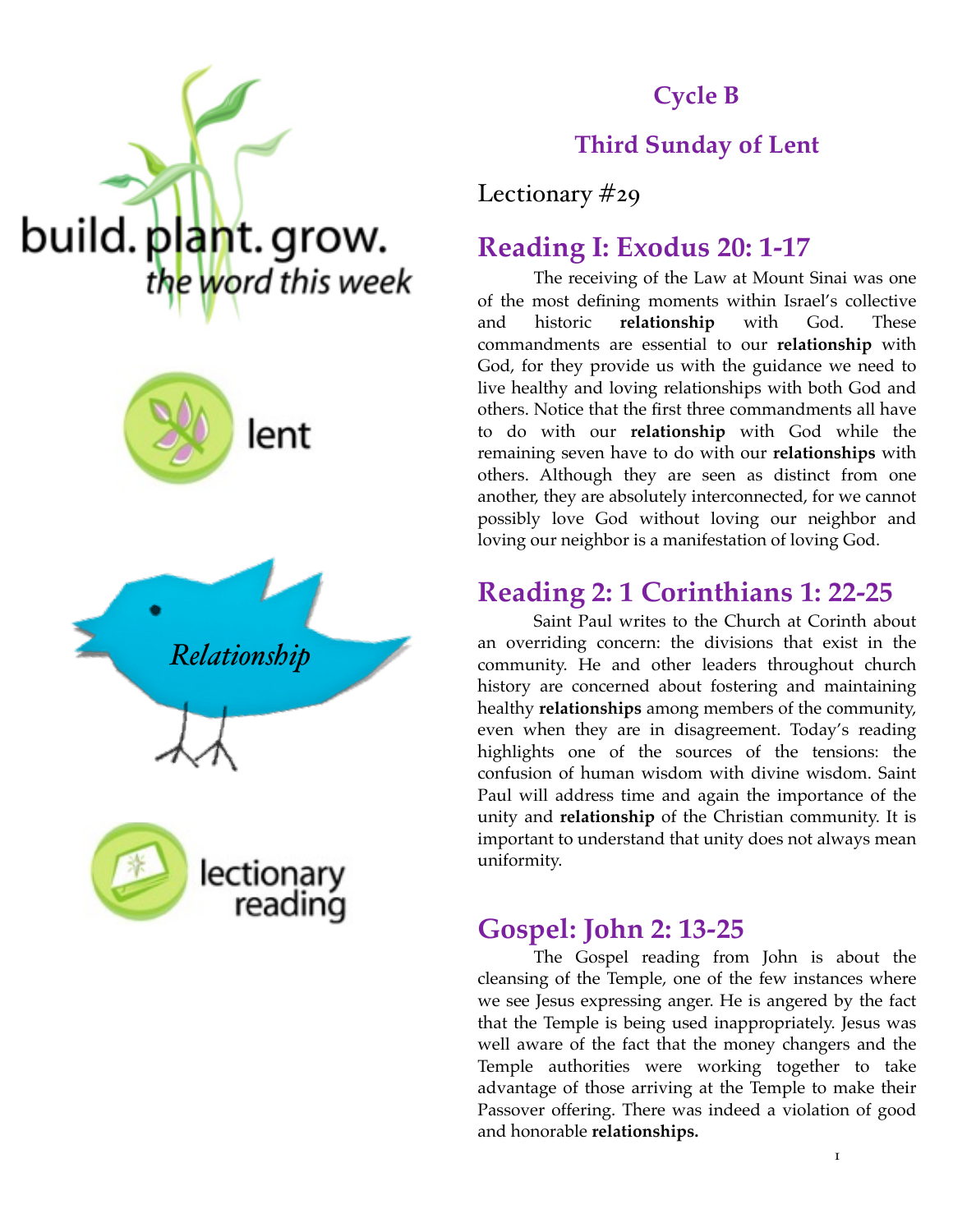





reading



# **Cycle B**

#### **Third Sunday of Lent**

Lectionary #29

### **Reading I: Exodus 20: 1-17**

The receiving of the Law at Mount Sinai was one of the most defining moments within Israel's collective and historic **relationship** with God. These commandments are essential to our **relationship** with God, for they provide us with the guidance we need to live healthy and loving relationships with both God and others. Notice that the first three commandments all have to do with our **relationship** with God while the remaining seven have to do with our **relationships** with others. Although they are seen as distinct from one another, they are absolutely interconnected, for we cannot possibly love God without loving our neighbor and loving our neighbor is a manifestation of loving God.

## **Reading 2: 1 Corinthians 1: 22-25**

Saint Paul writes to the Church at Corinth about an overriding concern: the divisions that exist in the community. He and other leaders throughout church history are concerned about fostering and maintaining healthy **relationships** among members of the community, even when they are in disagreement. Today's reading highlights one of the sources of the tensions: the confusion of human wisdom with divine wisdom. Saint Paul will address time and again the importance of the unity and **relationship** of the Christian community. It is important to understand that unity does not always mean uniformity.

### **Gospel: John 2: 13-25**

The Gospel reading from John is about the cleansing of the Temple, one of the few instances where we see Jesus expressing anger. He is angered by the fact that the Temple is being used inappropriately. Jesus was well aware of the fact that the money changers and the Temple authorities were working together to take advantage of those arriving at the Temple to make their Passover offering. There was indeed a violation of good and honorable **relationships.**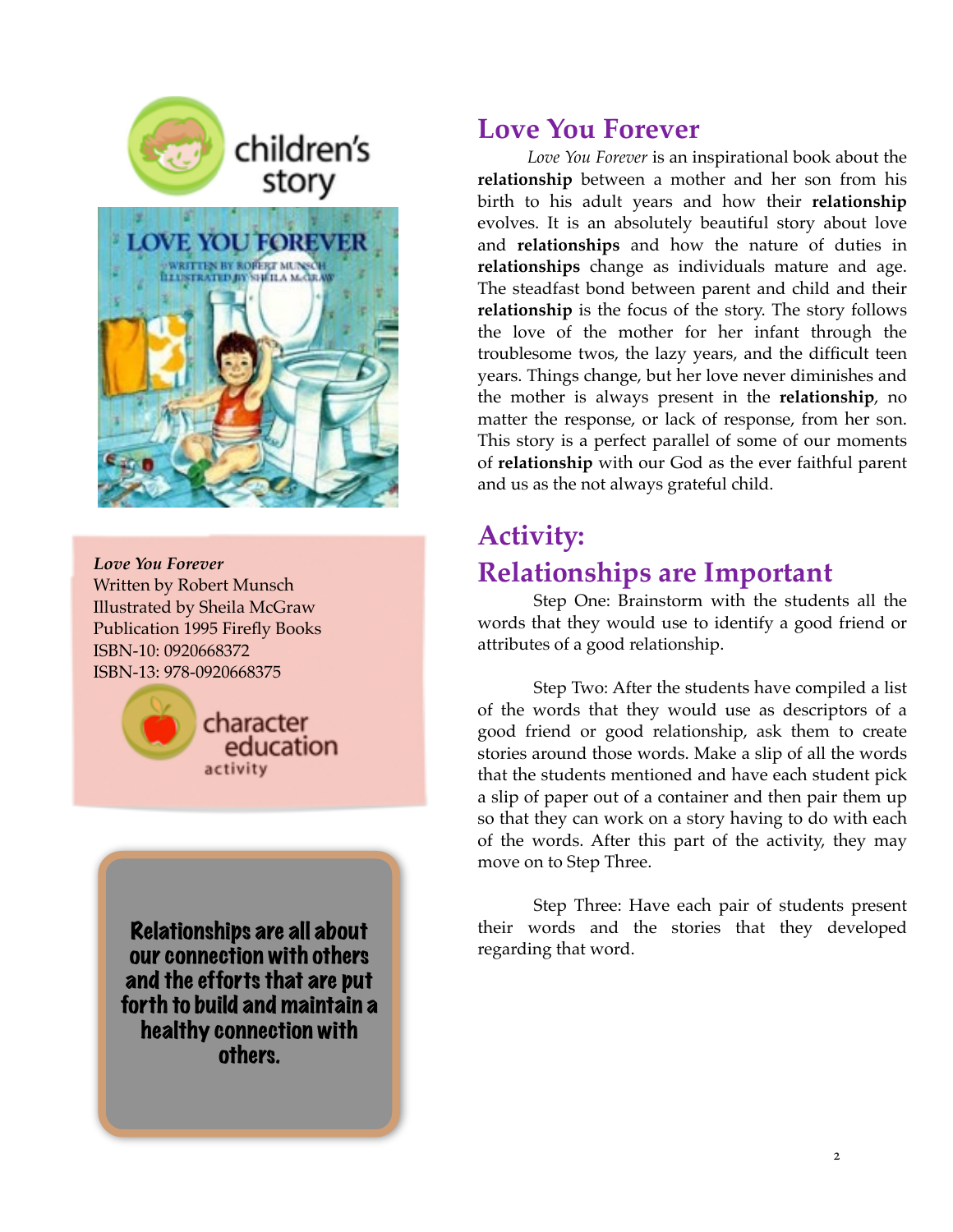

*Love You Forever*  Written by Robert Munsch Illustrated by Sheila McGraw Publication 1995 Firefly Books ISBN-10: 0920668372 ISBN-13: 978-0920668375



Relationships are all about our connection with others and the efforts that are put forth to build and maintain a healthy connection with others.

### **Love You Forever**

*Love You Forever* is an inspirational book about the **relationship** between a mother and her son from his birth to his adult years and how their **relationship** evolves. It is an absolutely beautiful story about love and **relationships** and how the nature of duties in **relationships** change as individuals mature and age. The steadfast bond between parent and child and their **relationship** is the focus of the story. The story follows the love of the mother for her infant through the troublesome twos, the lazy years, and the difficult teen years. Things change, but her love never diminishes and the mother is always present in the **relationship**, no matter the response, or lack of response, from her son. This story is a perfect parallel of some of our moments of **relationship** with our God as the ever faithful parent and us as the not always grateful child.

# **Activity: Relationships are Important**

Step One: Brainstorm with the students all the words that they would use to identify a good friend or attributes of a good relationship.

Step Two: After the students have compiled a list of the words that they would use as descriptors of a good friend or good relationship, ask them to create stories around those words. Make a slip of all the words that the students mentioned and have each student pick a slip of paper out of a container and then pair them up so that they can work on a story having to do with each of the words. After this part of the activity, they may move on to Step Three.

Step Three: Have each pair of students present their words and the stories that they developed regarding that word.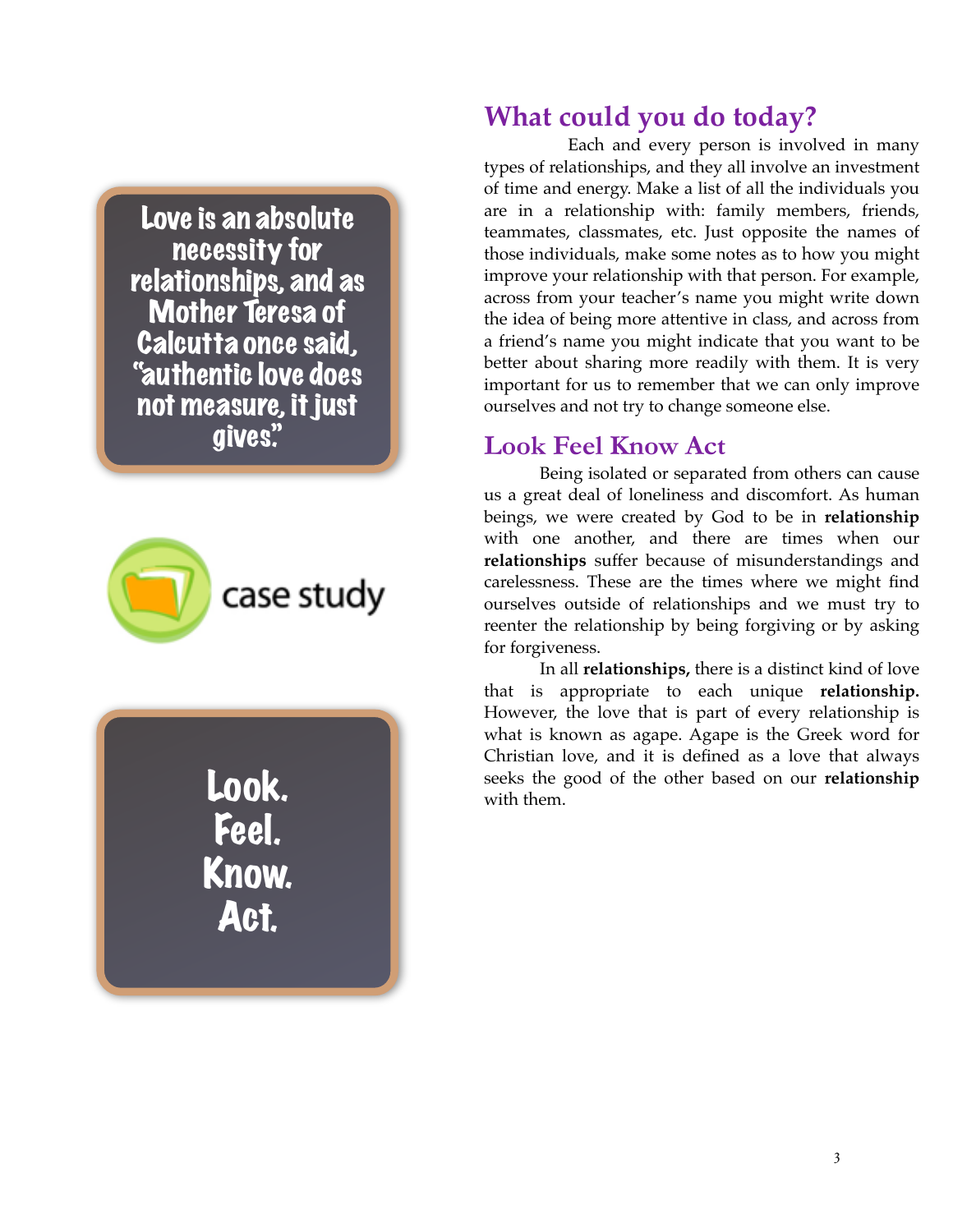Love is an absolute necessity for relationships, and as Mother Teresa of Calcutta once said, "authentic love does not measure, it just gives."



Look. Feel. Know. Act.

# **What could you do today?**

Each and every person is involved in many types of relationships, and they all involve an investment of time and energy. Make a list of all the individuals you are in a relationship with: family members, friends, teammates, classmates, etc. Just opposite the names of those individuals, make some notes as to how you might improve your relationship with that person. For example, across from your teacher's name you might write down the idea of being more attentive in class, and across from a friend's name you might indicate that you want to be better about sharing more readily with them. It is very important for us to remember that we can only improve ourselves and not try to change someone else.

#### **Look Feel Know Act**

Being isolated or separated from others can cause us a great deal of loneliness and discomfort. As human beings, we were created by God to be in **relationship**  with one another, and there are times when our **relationships** suffer because of misunderstandings and carelessness. These are the times where we might find ourselves outside of relationships and we must try to reenter the relationship by being forgiving or by asking for forgiveness.

In all **relationships,** there is a distinct kind of love that is appropriate to each unique **relationship.** However, the love that is part of every relationship is what is known as agape. Agape is the Greek word for Christian love, and it is defined as a love that always seeks the good of the other based on our **relationship**  with them.